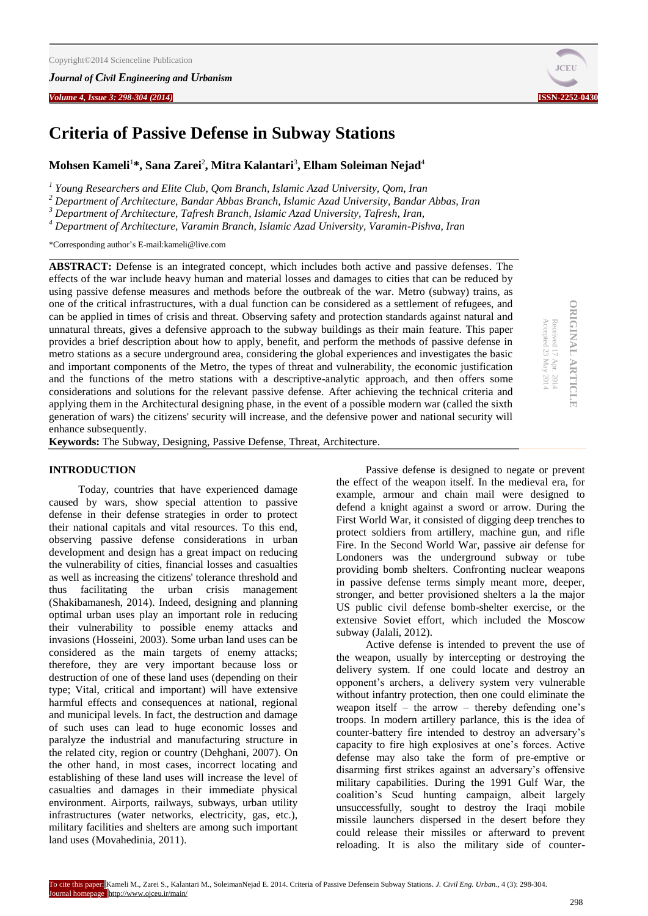### *Journal of Civil Engineering and Urbanism*

*Volume 4, Issue 3: 298-304 (2014)* **ISSN-2252-0430**

# **Criteria of Passive Defense in Subway Stations**

# **Mohsen Kameli**<sup>1</sup> **\*, Sana Zarei**<sup>2</sup> **, Mitra Kalantari**<sup>3</sup> **, Elham Soleiman Nejad**<sup>4</sup>

*1 Young Researchers and Elite Club, Qom Branch, Islamic Azad University, Qom, Iran*

*<sup>2</sup> Department of Architecture, Bandar Abbas Branch, Islamic Azad University, Bandar Abbas, Iran*

*<sup>3</sup> Department of Architecture, Tafresh Branch, Islamic Azad University, Tafresh, Iran,*

*<sup>4</sup> Department of Architecture, Varamin Branch, Islamic Azad University, Varamin-Pishva, Iran*

\*Corresponding author's E-mail:kameli@live.com

**ABSTRACT:** Defense is an integrated concept, which includes both active and passive defenses. The effects of the war include heavy human and material losses and damages to cities that can be reduced by using passive defense measures and methods before the outbreak of the war. Metro (subway) trains, as one of the critical infrastructures, with a dual function can be considered as a settlement of refugees, and can be applied in times of crisis and threat. Observing safety and protection standards against natural and unnatural threats, gives a defensive approach to the subway buildings as their main feature. This paper provides a brief description about how to apply, benefit, and perform the methods of passive defense in metro stations as a secure underground area, considering the global experiences and investigates the basic and important components of the Metro, the types of threat and vulnerability, the economic justification and the functions of the metro stations with a descriptive-analytic approach, and then offers some considerations and solutions for the relevant passive defense. After achieving the technical criteria and applying them in the Architectural designing phase, in the event of a possible modern war (called the sixth generation of wars) the citizens' security will increase, and the defensive power and national security will enhance subsequently.

**Keywords:** The Subway, Designing, Passive Defense, Threat, Architecture.

# **INTRODUCTION**

Today, countries that have experienced damage caused by wars, show special attention to passive defense in their defense strategies in order to protect their national capitals and vital resources. To this end, observing passive defense considerations in urban development and design has a great impact on reducing the vulnerability of cities, financial losses and casualties as well as increasing the citizens' tolerance threshold and thus facilitating the urban crisis management (Shakibamanesh, 2014). Indeed, designing and planning optimal urban uses play an important role in reducing their vulnerability to possible enemy attacks and invasions (Hosseini, 2003). Some urban land uses can be considered as the main targets of enemy attacks; therefore, they are very important because loss or destruction of one of these land uses (depending on their type; Vital, critical and important) will have extensive harmful effects and consequences at national, regional and municipal levels. In fact, the destruction and damage of such uses can lead to huge economic losses and paralyze the industrial and manufacturing structure in the related city, region or country (Dehghani, 2007). On the other hand, in most cases, incorrect locating and establishing of these land uses will increase the level of casualties and damages in their immediate physical environment. Airports, railways, subways, urban utility infrastructures (water networks, electricity, gas, etc.), military facilities and shelters are among such important land uses (Movahedinia, 2011).

Passive defense is designed to negate or prevent the effect of the weapon itself. In the medieval era, for example, armour and chain mail were designed to defend a knight against a sword or arrow. During the First World War, it consisted of digging deep trenches to protect soldiers from artillery, machine gun, and rifle Fire. In the Second World War, passive air defense for Londoners was the underground subway or tube providing bomb shelters. Confronting nuclear weapons in passive defense terms simply meant more, deeper, stronger, and better provisioned shelters a la the major US public civil defense bomb-shelter exercise, or the extensive Soviet effort, which included the Moscow subway (Jalali, 2012).

Active defense is intended to prevent the use of the weapon, usually by intercepting or destroying the delivery system. If one could locate and destroy an opponent's archers, a delivery system very vulnerable without infantry protection, then one could eliminate the weapon itself – the arrow – thereby defending one's troops. In modern artillery parlance, this is the idea of counter-battery fire intended to destroy an adversary's capacity to fire high explosives at one's forces. Active defense may also take the form of pre-emptive or disarming first strikes against an adversary's offensive military capabilities. During the 1991 Gulf War, the coalition's Scud hunting campaign, albeit largely unsuccessfully, sought to destroy the Iraqi mobile missile launchers dispersed in the desert before they could release their missiles or afterward to prevent reloading. It is also the military side of counter-



**ORIGINAL ARTICLE ORIGINAL ARTICLE** Received 17 Apr. 2014<br>Accepted 23 May 2014 Accepted 23 May Received 17 Apr. 2014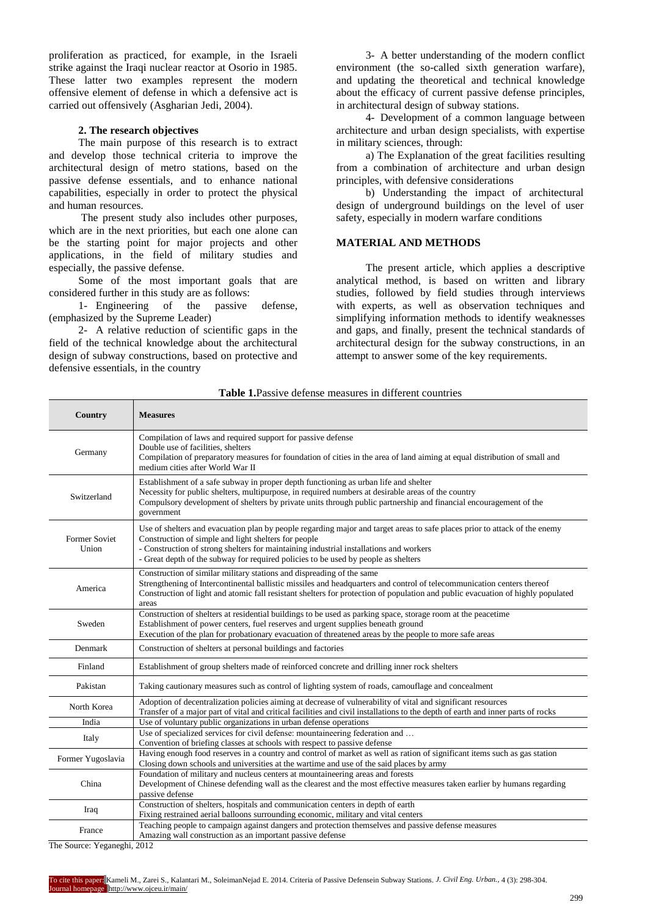proliferation as practiced, for example, in the Israeli strike against the Iraqi nuclear reactor at Osorio in 1985. These latter two examples represent the modern offensive element of defense in which a defensive act is carried out offensively (Asgharian Jedi, 2004).

### **2. The research objectives**

The main purpose of this research is to extract and develop those technical criteria to improve the architectural design of metro stations, based on the passive defense essentials, and to enhance national capabilities, especially in order to protect the physical and human resources.

The present study also includes other purposes, which are in the next priorities, but each one alone can be the starting point for major projects and other applications, in the field of military studies and especially, the passive defense.

Some of the most important goals that are considered further in this study are as follows:

1- Engineering of the passive defense, (emphasized by the Supreme Leader)

2- A relative reduction of scientific gaps in the field of the technical knowledge about the architectural design of subway constructions, based on protective and defensive essentials, in the country

3- A better understanding of the modern conflict environment (the so-called sixth generation warfare), and updating the theoretical and technical knowledge about the efficacy of current passive defense principles, in architectural design of subway stations.

4- Development of a common language between architecture and urban design specialists, with expertise in military sciences, through:

a) The Explanation of the great facilities resulting from a combination of architecture and urban design principles, with defensive considerations

b) Understanding the impact of architectural design of underground buildings on the level of user safety, especially in modern warfare conditions

# **MATERIAL AND METHODS**

The present article, which applies a descriptive analytical method, is based on written and library studies, followed by field studies through interviews with experts, as well as observation techniques and simplifying information methods to identify weaknesses and gaps, and finally, present the technical standards of architectural design for the subway constructions, in an attempt to answer some of the key requirements.

| Country                       | <b>Measures</b>                                                                                                                                                                                                                                                                                                                                                    |
|-------------------------------|--------------------------------------------------------------------------------------------------------------------------------------------------------------------------------------------------------------------------------------------------------------------------------------------------------------------------------------------------------------------|
| Germany                       | Compilation of laws and required support for passive defense<br>Double use of facilities, shelters<br>Compilation of preparatory measures for foundation of cities in the area of land aiming at equal distribution of small and<br>medium cities after World War II                                                                                               |
| Switzerland                   | Establishment of a safe subway in proper depth functioning as urban life and shelter<br>Necessity for public shelters, multipurpose, in required numbers at desirable areas of the country<br>Compulsory development of shelters by private units through public partnership and financial encouragement of the<br>government                                      |
| <b>Former Soviet</b><br>Union | Use of shelters and evacuation plan by people regarding major and target areas to safe places prior to attack of the enemy<br>Construction of simple and light shelters for people<br>- Construction of strong shelters for maintaining industrial installations and workers<br>- Great depth of the subway for required policies to be used by people as shelters |
| America                       | Construction of similar military stations and dispreading of the same<br>Strengthening of Intercontinental ballistic missiles and headquarters and control of telecommunication centers thereof<br>Construction of light and atomic fall resistant shelters for protection of population and public evacuation of highly populated<br>areas                        |
| Sweden                        | Construction of shelters at residential buildings to be used as parking space, storage room at the peacetime<br>Establishment of power centers, fuel reserves and urgent supplies beneath ground<br>Execution of the plan for probationary evacuation of threatened areas by the people to more safe areas                                                         |
| Denmark                       | Construction of shelters at personal buildings and factories                                                                                                                                                                                                                                                                                                       |
| Finland                       | Establishment of group shelters made of reinforced concrete and drilling inner rock shelters                                                                                                                                                                                                                                                                       |
| Pakistan                      | Taking cautionary measures such as control of lighting system of roads, camouflage and concealment                                                                                                                                                                                                                                                                 |
| North Korea                   | Adoption of decentralization policies aiming at decrease of vulnerability of vital and significant resources<br>Transfer of a major part of vital and critical facilities and civil installations to the depth of earth and inner parts of rocks                                                                                                                   |
| India                         | Use of voluntary public organizations in urban defense operations                                                                                                                                                                                                                                                                                                  |
| Italy                         | Use of specialized services for civil defense: mountaineering federation and<br>Convention of briefing classes at schools with respect to passive defense                                                                                                                                                                                                          |
| Former Yugoslavia             | Having enough food reserves in a country and control of market as well as ration of significant items such as gas station<br>Closing down schools and universities at the wartime and use of the said places by army                                                                                                                                               |
| China                         | Foundation of military and nucleus centers at mountaineering areas and forests<br>Development of Chinese defending wall as the clearest and the most effective measures taken earlier by humans regarding<br>passive defense                                                                                                                                       |
| Iraq                          | Construction of shelters, hospitals and communication centers in depth of earth<br>Fixing restrained aerial balloons surrounding economic, military and vital centers                                                                                                                                                                                              |
| France                        | Teaching people to campaign against dangers and protection themselves and passive defense measures<br>Amazing wall construction as an important passive defense                                                                                                                                                                                                    |

**Table 1.**Passive defense measures in different countries

The Source: Yeganeghi, 2012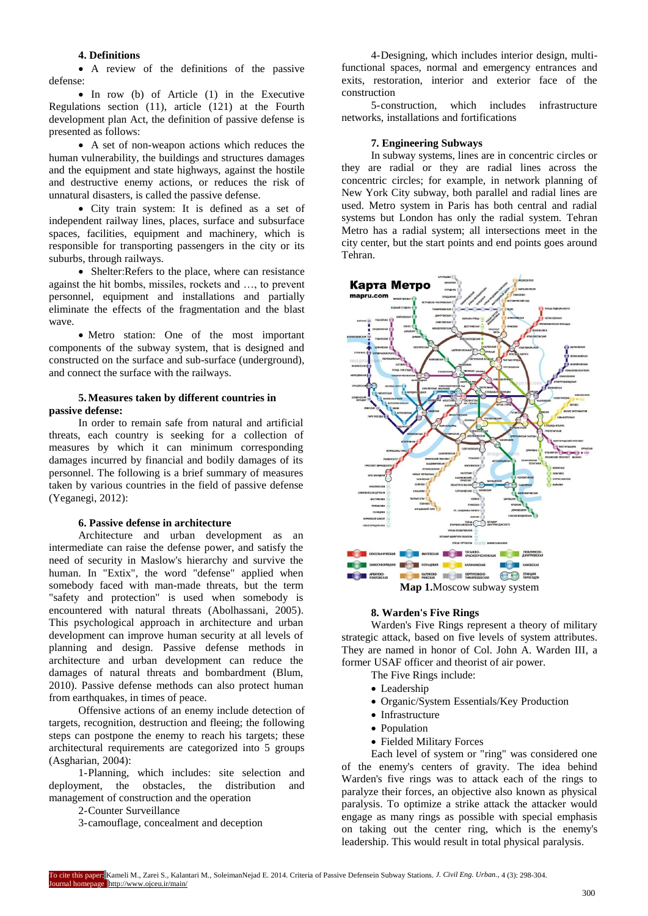# **4. Definitions**

 A review of the definitions of the passive defense:

• In row (b) of Article (1) in the Executive Regulations section (11), article (121) at the Fourth development plan Act, the definition of passive defense is presented as follows:

 A set of non-weapon actions which reduces the human vulnerability, the buildings and structures damages and the equipment and state highways, against the hostile and destructive enemy actions, or reduces the risk of unnatural disasters, is called the passive defense.

 City train system: It is defined as a set of independent railway lines, places, surface and subsurface spaces, facilities, equipment and machinery, which is responsible for transporting passengers in the city or its suburbs, through railways.

• Shelter: Refers to the place, where can resistance against the hit bombs, missiles, rockets and …, to prevent personnel, equipment and installations and partially eliminate the effects of the fragmentation and the blast wave.

 Metro station: One of the most important components of the subway system, that is designed and constructed on the surface and sub-surface (underground), and connect the surface with the railways.

# **5.Measures taken by different countries in passive defense:**

In order to remain safe from natural and artificial threats, each country is seeking for a collection of measures by which it can minimum corresponding damages incurred by financial and bodily damages of its personnel. The following is a brief summary of measures taken by various countries in the field of passive defense (Yeganegi, 2012):

# **6. Passive defense in architecture**

Architecture and urban development as an intermediate can raise the defense power, and satisfy the need of security in Maslow's hierarchy and survive the human. In "Extix", the word "defense" applied when somebody faced with man-made threats, but the term "safety and protection" is used when somebody is encountered with natural threats (Abolhassani, 2005). This psychological approach in architecture and urban development can improve human security at all levels of planning and design. Passive defense methods in architecture and urban development can reduce the damages of natural threats and bombardment (Blum, 2010). Passive defense methods can also protect human from earthquakes, in times of peace.

Offensive actions of an enemy include detection of targets, recognition, destruction and fleeing; the following steps can postpone the enemy to reach his targets; these architectural requirements are categorized into 5 groups (Asgharian, 2004):

1-Planning, which includes: site selection and deployment, the obstacles, the distribution and obstacles, the distribution and management of construction and the operation

2-Counter Surveillance

3-camouflage, concealment and deception

4-Designing, which includes interior design, multifunctional spaces, normal and emergency entrances and exits, restoration, interior and exterior face of the construction

5-construction, which includes infrastructure networks, installations and fortifications

#### **7. Engineering Subways**

In subway systems, lines are in concentric circles or they are radial or they are radial lines across the concentric circles; for example, in network planning of New York City subway, both parallel and radial lines are used. Metro system in Paris has both central and radial systems but London has only the radial system. Tehran Metro has a radial system; all intersections meet in the city center, but the start points and end points goes around Tehran.



**Map 1.**Moscow subway system

### **8. Warden's Five Rings**

Warden's Five Rings represent a theory of military strategic attack, based on five levels of system attributes. They are named in honor of [Col.](http://en.wikipedia.org/wiki/Colonel_%28United_States%29) [John A. Warden III,](http://en.wikipedia.org/wiki/John_A._Warden_III) a former [USAF](http://en.wikipedia.org/wiki/United_States_Air_Force) officer and theorist of air power.

The Five Rings include:

- [Leadership](http://en.wikipedia.org/wiki/Leadership)
- Organic/System Essentials/Key Production
- [Infrastructure](http://en.wikipedia.org/wiki/Infrastructure)
- [Population](http://en.wikipedia.org/wiki/Population)
- Fielded Military Forces

Each level of system or "ring" was considered one of the enemy's centers of gravity. The idea behind Warden's five rings was to attack each of the rings to paralyze their forces, an objective also known as physical paralysis. To optimize a strike attack the attacker would engage as many rings as possible with special emphasis on taking out the center ring, which is the enemy's leadership. This would result in total physical [paralysis.](http://en.wikipedia.org/wiki/Paralysis)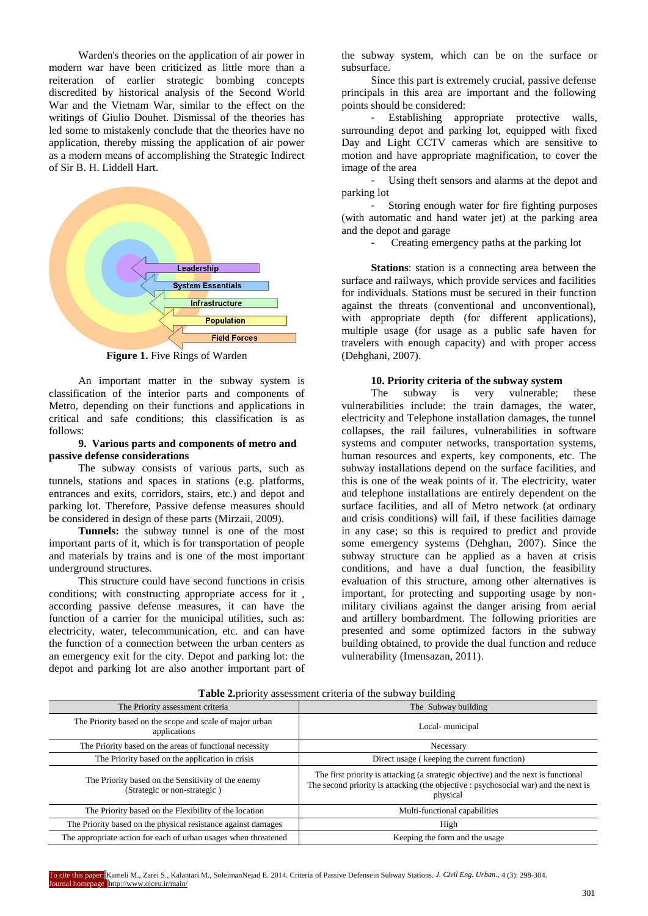Warden's theories on the application of air power in modern war have been criticized as little more than a reiteration of earlier strategic bombing concepts discredited by historical analysis of the [Second World](http://en.wikipedia.org/wiki/Second_World_War)  [War](http://en.wikipedia.org/wiki/Second_World_War) and the [Vietnam War,](http://en.wikipedia.org/wiki/Vietnam_War) similar to the effect on the writings of Giulio [Douhet.](http://en.wikipedia.org/wiki/Giulio_Douhet) Dismissal of the theories has led some to mistakenly conclude that the theories have no application, thereby missing the application of air power as a modern means of accomplishing the Strategic Indirect of Sir [B. H. Liddell Hart.](http://en.wikipedia.org/wiki/B._H._Liddell_Hart)



**Figure 1.** Five Rings of Warden

An important matter in the subway system is classification of the interior parts and components of Metro, depending on their functions and applications in critical and safe conditions; this classification is as follows:

# **9. Various parts and components of metro and passive defense considerations**

The subway consists of various parts, such as tunnels, stations and spaces in stations (e.g. platforms, entrances and exits, corridors, stairs, etc.) and depot and parking lot. Therefore, Passive defense measures should be considered in design of these parts (Mirzaii, 2009).

**Tunnels:** the subway tunnel is one of the most important parts of it, which is for transportation of people and materials by trains and is one of the most important underground structures.

This structure could have second functions in crisis conditions; with constructing appropriate access for it , according passive defense measures, it can have the function of a carrier for the municipal utilities, such as: electricity, water, telecommunication, etc. and can have the function of a connection between the urban centers as an emergency exit for the city. Depot and parking lot: the depot and parking lot are also another important part of the subway system, which can be on the surface or subsurface.

Since this part is extremely crucial, passive defense principals in this area are important and the following points should be considered:

Establishing appropriate protective walls, surrounding depot and parking lot, equipped with fixed Day and Light CCTV cameras which are sensitive to motion and have appropriate magnification, to cover the image of the area

Using theft sensors and alarms at the depot and parking lot

Storing enough water for fire fighting purposes (with automatic and hand water jet) at the parking area and the depot and garage

- Creating emergency paths at the parking lot

**Stations**: station is a connecting area between the surface and railways, which provide services and facilities for individuals. Stations must be secured in their function against the threats (conventional and unconventional), with appropriate depth (for different applications), multiple usage (for usage as a public safe haven for travelers with enough capacity) and with proper access (Dehghani, 2007).

#### **10. Priority criteria of the subway system**

The subway is very vulnerable; these vulnerabilities include: the train damages, the water, electricity and Telephone installation damages, the tunnel collapses, the rail failures, vulnerabilities in software systems and computer networks, transportation systems, human resources and experts, key components, etc. The subway installations depend on the surface facilities, and this is one of the weak points of it. The electricity, water and telephone installations are entirely dependent on the surface facilities, and all of Metro network (at ordinary and crisis conditions) will fail, if these facilities damage in any case; so this is required to predict and provide some emergency systems (Dehghan, 2007). Since the subway structure can be applied as a haven at crisis conditions, and have a dual function, the feasibility evaluation of this structure, among other alternatives is important, for protecting and supporting usage by nonmilitary civilians against the danger arising from aerial and artillery bombardment. The following priorities are presented and some optimized factors in the subway building obtained, to provide the dual function and reduce vulnerability (Imensazan, 2011).

| <b>Table 2.</b> Priority assessment criteria or the subway building                |                                                                                                                                                                                       |  |
|------------------------------------------------------------------------------------|---------------------------------------------------------------------------------------------------------------------------------------------------------------------------------------|--|
| The Priority assessment criteria                                                   | The Subway building                                                                                                                                                                   |  |
| The Priority based on the scope and scale of major urban<br>applications           | Local-municipal                                                                                                                                                                       |  |
| The Priority based on the areas of functional necessity                            | Necessary                                                                                                                                                                             |  |
| The Priority based on the application in crisis                                    | Direct usage (keeping the current function)                                                                                                                                           |  |
| The Priority based on the Sensitivity of the enemy<br>(Strategic or non-strategic) | The first priority is attacking (a strategic objective) and the next is functional<br>The second priority is attacking (the objective : psychosocial war) and the next is<br>physical |  |
| The Priority based on the Flexibility of the location                              | Multi-functional capabilities                                                                                                                                                         |  |
| The Priority based on the physical resistance against damages                      | High                                                                                                                                                                                  |  |
| The appropriate action for each of urban usages when threatened                    | Keeping the form and the usage                                                                                                                                                        |  |

**Table 2.**priority assessment criteria of the subway building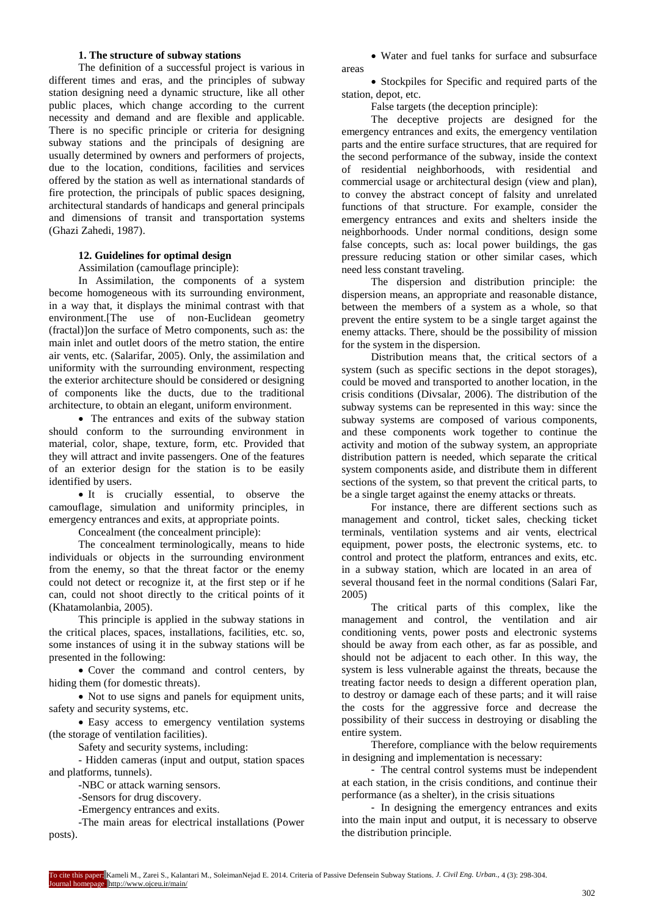# **1. The structure of subway stations**

The definition of a successful project is various in different times and eras, and the principles of subway station designing need a dynamic structure, like all other public places, which change according to the current necessity and demand and are flexible and applicable. There is no specific principle or criteria for designing subway stations and the principals of designing are usually determined by owners and performers of projects, due to the location, conditions, facilities and services offered by the station as well as international standards of fire protection, the principals of public spaces designing, architectural standards of handicaps and general principals and dimensions of transit and transportation systems (Ghazi Zahedi, 1987).

# **12. Guidelines for optimal design**

Assimilation (camouflage principle):

In Assimilation, the components of a system become homogeneous with its surrounding environment, in a way that, it displays the minimal contrast with that environment.[The use of non-Euclidean geometry (fractal) lon the surface of Metro components, such as: the main inlet and outlet doors of the metro station, the entire air vents, etc. (Salarifar, 2005). Only, the assimilation and uniformity with the surrounding environment, respecting the exterior architecture should be considered or designing of components like the ducts, due to the traditional architecture, to obtain an elegant, uniform environment.

• The entrances and exits of the subway station should conform to the surrounding environment in material, color, shape, texture, form, etc. Provided that they will attract and invite passengers. One of the features of an exterior design for the station is to be easily identified by users.

• It is crucially essential, to observe the camouflage, simulation and uniformity principles, in emergency entrances and exits, at appropriate points.

Concealment (the concealment principle):

The concealment terminologically, means to hide individuals or objects in the surrounding environment from the enemy, so that the threat factor or the enemy could not detect or recognize it, at the first step or if he can, could not shoot directly to the critical points of it (Khatamolanbia, 2005).

This principle is applied in the subway stations in the critical places, spaces, installations, facilities, etc. so, some instances of using it in the subway stations will be presented in the following:

 Cover the command and control centers, by hiding them (for domestic threats).

• Not to use signs and panels for equipment units, safety and security systems, etc.

• Easy access to emergency ventilation systems (the storage of ventilation facilities).

Safety and security systems, including:

- Hidden cameras (input and output, station spaces and platforms, tunnels).

-NBC or attack warning sensors.

-Sensors for drug discovery.

-Emergency entrances and exits.

-The main areas for electrical installations (Power posts).

 Water and fuel tanks for surface and subsurface areas

• Stockpiles for Specific and required parts of the station, depot, etc.

False targets (the deception principle):

The deceptive projects are designed for the emergency entrances and exits, the emergency ventilation parts and the entire surface structures, that are required for the second performance of the subway, inside the context of residential neighborhoods, with residential and commercial usage or architectural design (view and plan), to convey the abstract concept of falsity and unrelated functions of that structure. For example, consider the emergency entrances and exits and shelters inside the neighborhoods. Under normal conditions, design some false concepts, such as: local power buildings, the gas pressure reducing station or other similar cases, which need less constant traveling.

The dispersion and distribution principle: the dispersion means, an appropriate and reasonable distance, between the members of a system as a whole, so that prevent the entire system to be a single target against the enemy attacks. There, should be the possibility of mission for the system in the dispersion.

Distribution means that, the critical sectors of a system (such as specific sections in the depot storages), could be moved and transported to another location, in the crisis conditions (Divsalar, 2006). The distribution of the subway systems can be represented in this way: since the subway systems are composed of various components, and these components work together to continue the activity and motion of the subway system, an appropriate distribution pattern is needed, which separate the critical system components aside, and distribute them in different sections of the system, so that prevent the critical parts, to be a single target against the enemy attacks or threats.

For instance, there are different sections such as management and control, ticket sales, checking ticket terminals, ventilation systems and air vents, electrical equipment, power posts, the electronic systems, etc. to control and protect the platform, entrances and exits, etc. in a subway station, which are located in an area of several thousand feet in the normal conditions (Salari Far, 2005)

The critical parts of this complex, like the management and control, the ventilation and air conditioning vents, power posts and electronic systems should be away from each other, as far as possible, and should not be adjacent to each other. In this way, the system is less vulnerable against the threats, because the treating factor needs to design a different operation plan, to destroy or damage each of these parts; and it will raise the costs for the aggressive force and decrease the possibility of their success in destroying or disabling the entire system.

Therefore, compliance with the below requirements in designing and implementation is necessary:

- The central control systems must be independent at each station, in the crisis conditions, and continue their performance (as a shelter), in the crisis situations

- In designing the emergency entrances and exits into the main input and output, it is necessary to observe the distribution principle.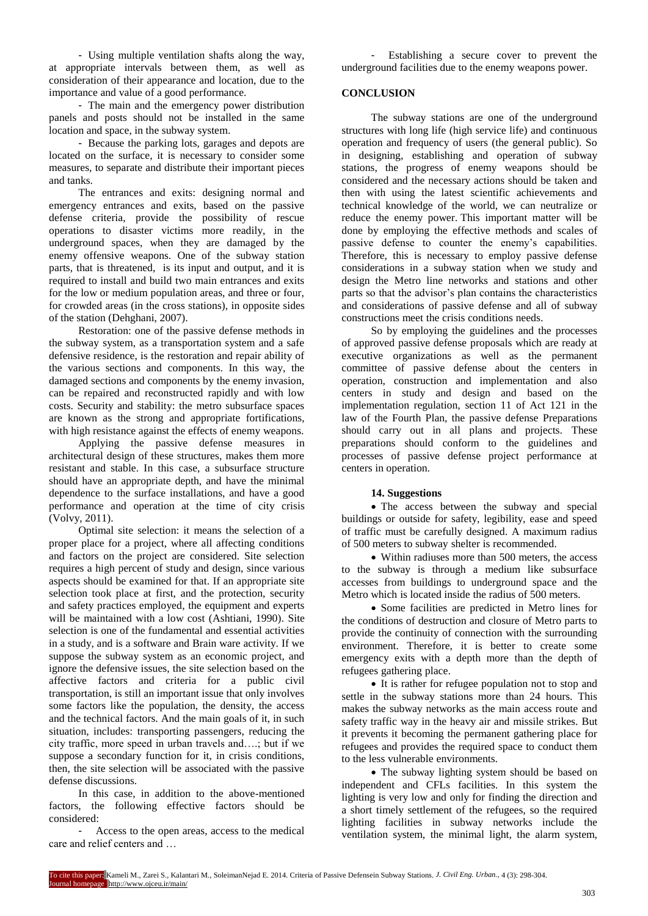- Using multiple ventilation shafts along the way, at appropriate intervals between them, as well as consideration of their appearance and location, due to the importance and value of a good performance.

- The main and the emergency power distribution panels and posts should not be installed in the same location and space, in the subway system.

- Because the parking lots, garages and depots are located on the surface, it is necessary to consider some measures, to separate and distribute their important pieces and tanks.

The entrances and exits: designing normal and emergency entrances and exits, based on the passive defense criteria, provide the possibility of rescue operations to disaster victims more readily, in the underground spaces, when they are damaged by the enemy offensive weapons. One of the subway station parts, that is threatened, is its input and output, and it is required to install and build two main entrances and exits for the low or medium population areas, and three or four, for crowded areas (in the cross stations), in opposite sides of the station (Dehghani, 2007).

Restoration: one of the passive defense methods in the subway system, as a transportation system and a safe defensive residence, is the restoration and repair ability of the various sections and components. In this way, the damaged sections and components by the enemy invasion, can be repaired and reconstructed rapidly and with low costs. Security and stability: the metro subsurface spaces are known as the strong and appropriate fortifications, with high resistance against the effects of enemy weapons.

Applying the passive defense measures in architectural design of these structures, makes them more resistant and stable. In this case, a subsurface structure should have an appropriate depth, and have the minimal dependence to the surface installations, and have a good performance and operation at the time of city crisis (Volvy, 2011).

Optimal site selection: it means the selection of a proper place for a project, where all affecting conditions and factors on the project are considered. Site selection requires a high percent of study and design, since various aspects should be examined for that. If an appropriate site selection took place at first, and the protection, security and safety practices employed, the equipment and experts will be maintained with a low cost (Ashtiani, 1990). Site selection is one of the fundamental and essential activities in a study, and is a software and Brain ware activity. If we suppose the subway system as an economic project, and ignore the defensive issues, the site selection based on the affective factors and criteria for a public civil transportation, is still an important issue that only involves some factors like the population, the density, the access and the technical factors. And the main goals of it, in such situation, includes: transporting passengers, reducing the city traffic, more speed in urban travels and….; but if we suppose a secondary function for it, in crisis conditions, then, the site selection will be associated with the passive defense discussions.

In this case, in addition to the above-mentioned factors, the following effective factors should be considered:

Access to the open areas, access to the medical care and relief centers and …

- Establishing a secure cover to prevent the underground facilities due to the enemy weapons power.

# **CONCLUSION**

The subway stations are one of the underground structures with long life (high service life) and continuous operation and frequency of users (the general public). So in designing, establishing and operation of subway stations, the progress of enemy weapons should be considered and the necessary actions should be taken and then with using the latest scientific achievements and technical knowledge of the world, we can neutralize or reduce the enemy power. This important matter will be done by employing the effective methods and scales of passive defense to counter the enemy's capabilities. Therefore, this is necessary to employ passive defense considerations in a subway station when we study and design the Metro line networks and stations and other parts so that the advisor's plan contains the characteristics and considerations of passive defense and all of subway constructions meet the crisis conditions needs.

So by employing the guidelines and the processes of approved passive defense proposals which are ready at executive organizations as well as the permanent committee of passive defense about the centers in operation, construction and implementation and also centers in study and design and based on the implementation regulation, section 11 of Act 121 in the law of the Fourth Plan, the passive defense Preparations should carry out in all plans and projects. These preparations should conform to the guidelines and processes of passive defense project performance at centers in operation.

# **14. Suggestions**

• The access between the subway and special buildings or outside for safety, legibility, ease and speed of traffic must be carefully designed. A maximum radius of 500 meters to subway shelter is recommended.

 Within radiuses more than 500 meters, the access to the subway is through a medium like subsurface accesses from buildings to underground space and the Metro which is located inside the radius of 500 meters.

 Some facilities are predicted in Metro lines for the conditions of destruction and closure of Metro parts to provide the continuity of connection with the surrounding environment. Therefore, it is better to create some emergency exits with a depth more than the depth of refugees gathering place.

• It is rather for refugee population not to stop and settle in the subway stations more than 24 hours. This makes the subway networks as the main access route and safety traffic way in the heavy air and missile strikes. But it prevents it becoming the permanent gathering place for refugees and provides the required space to conduct them to the less vulnerable environments.

• The subway lighting system should be based on independent and CFLs facilities. In this system the lighting is very low and only for finding the direction and a short timely settlement of the refugees, so the required lighting facilities in subway networks include the ventilation system, the minimal light, the alarm system,